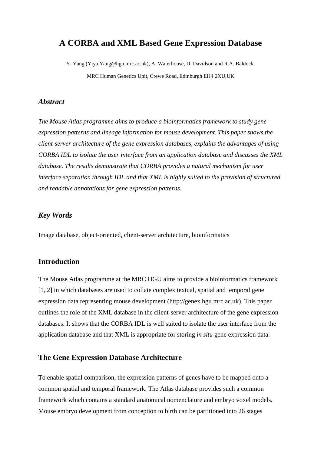# **A CORBA and XML Based Gene Expression Database**

Y. Yang (Yiya.Yang@hgu.mrc.ac.uk), A. Waterhouse, D. Davidson and R.A. Baldock. MRC Human Genetics Unit, Crewe Road, Edinburgh EH4 2XU,UK

#### *Abstract*

*The Mouse Atlas programme aims to produce a bioinformatics framework to study gene expression patterns and lineage information for mouse development. This paper shows the client-server architecture of the gene expression databases, explains the advantages of using CORBA IDL to isolate the user interface from an application database and discusses the XML database. The results demonstrate that CORBA provides a natural mechanism for user interface separation through IDL and that XML is highly suited to the provision of structured and readable annotations for gene expression patterns.*

#### *Key Words*

Image database, object-oriented, client-server architecture, bioinformatics

# **Introduction**

The Mouse Atlas programme at the MRC HGU aims to provide a bioinformatics framework [1, 2] in which databases are used to collate complex textual, spatial and temporal gene expression data representing mouse development (http://genex.hgu.mrc.ac.uk). This paper outlines the role of the XML database in the client-server architecture of the gene expression databases. It shows that the CORBA IDL is well suited to isolate the user interface from the application database and that XML is appropriate for storing *in situ* gene expression data.

# **The Gene Expression Database Architecture**

To enable spatial comparison, the expression patterns of genes have to be mapped onto a common spatial and temporal framework. The Atlas database provides such a common framework which contains a standard anatomical nomenclature and embryo voxel models. Mouse embryo development from conception to birth can be partitioned into 26 stages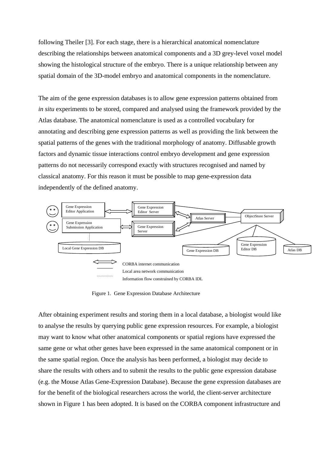following Theiler [3]. For each stage, there is a hierarchical anatomical nomenclature describing the relationships between anatomical components and a 3D grey-level voxel model showing the histological structure of the embryo. There is a unique relationship between any spatial domain of the 3D-model embryo and anatomical components in the nomenclature.

The aim of the gene expression databases is to allow gene expression patterns obtained from *in situ* experiments to be stored, compared and analysed using the framework provided by the Atlas database. The anatomical nomenclature is used as a controlled vocabulary for annotating and describing gene expression patterns as well as providing the link between the spatial patterns of the genes with the traditional morphology of anatomy. Diffusable growth factors and dynamic tissue interactions control embryo development and gene expression patterns do not necessarily correspond exactly with structures recognised and named by classical anatomy. For this reason it must be possible to map gene-expression data independently of the defined anatomy.



Figure 1. Gene Expression Database Architecture

After obtaining experiment results and storing them in a local database, a biologist would like to analyse the results by querying public gene expression resources. For example, a biologist may want to know what other anatomical components or spatial regions have expressed the same gene or what other genes have been expressed in the same anatomical component or in the same spatial region. Once the analysis has been performed, a biologist may decide to share the results with others and to submit the results to the public gene expression database (e.g. the Mouse Atlas Gene-Expression Database). Because the gene expression databases are for the benefit of the biological researchers across the world, the client-server architecture shown in Figure 1 has been adopted. It is based on the CORBA component infrastructure and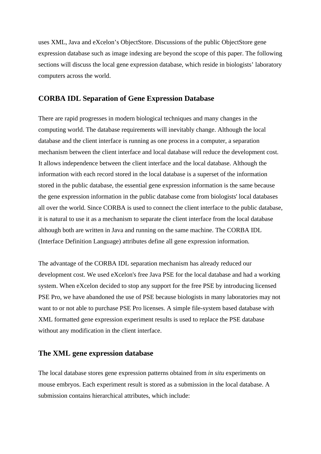uses XML, Java and eXcelon's ObjectStore. Discussions of the public ObjectStore gene expression database such as image indexing are beyond the scope of this paper. The following sections will discuss the local gene expression database, which reside in biologists' laboratory computers across the world.

## **CORBA IDL Separation of Gene Expression Database**

There are rapid progresses in modern biological techniques and many changes in the computing world. The database requirements will inevitably change. Although the local database and the client interface is running as one process in a computer, a separation mechanism between the client interface and local database will reduce the development cost. It allows independence between the client interface and the local database. Although the information with each record stored in the local database is a superset of the information stored in the public database, the essential gene expression information is the same because the gene expression information in the public database come from biologists' local databases all over the world. Since CORBA is used to connect the client interface to the public database, it is natural to use it as a mechanism to separate the client interface from the local database although both are written in Java and running on the same machine. The CORBA IDL (Interface Definition Language) attributes define all gene expression information.

The advantage of the CORBA IDL separation mechanism has already reduced our development cost. We used eXcelon's free Java PSE for the local database and had a working system. When eXcelon decided to stop any support for the free PSE by introducing licensed PSE Pro, we have abandoned the use of PSE because biologists in many laboratories may not want to or not able to purchase PSE Pro licenses. A simple file-system based database with XML formatted gene expression experiment results is used to replace the PSE database without any modification in the client interface.

## **The XML gene expression database**

The local database stores gene expression patterns obtained from *in situ* experiments on mouse embryos. Each experiment result is stored as a submission in the local database. A submission contains hierarchical attributes, which include: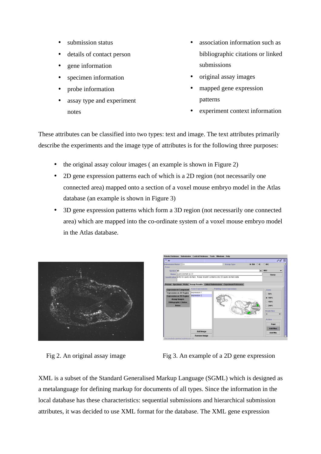- submission status
- details of contact person
- gene information
- specimen information
- probe information
- assay type and experiment notes
- association information such as bibliographic citations or linked submissions
- original assay images
- mapped gene expression patterns
- experiment context information

These attributes can be classified into two types: text and image. The text attributes primarily describe the experiments and the image type of attributes is for the following three purposes:

- the original assay colour images ( an example is shown in Figure 2)
- 2D gene expression patterns each of which is a 2D region (not necessarily one connected area) mapped onto a section of a voxel mouse embryo model in the Atlas database (an example is shown in Figure 3)
- 3D gene expression patterns which form a 3D region (not necessarily one connected area) which are mapped into the co-ordinate system of a voxel mouse embryo model in the Atlas database.





Fig 2. An original assay image Fig 3. An example of a 2D gene expression

XML is a subset of the Standard Generalised Markup Language (SGML) which is designed as a metalanguage for defining markup for documents of all types. Since the information in the local database has these characteristics: sequential submissions and hierarchical submission attributes, it was decided to use XML format for the database. The XML gene expression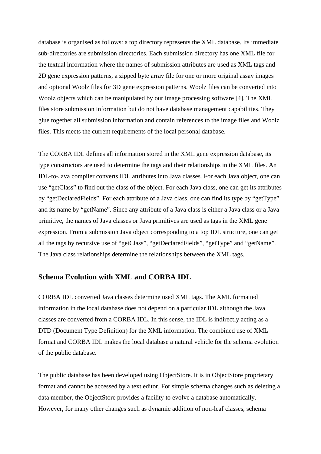database is organised as follows: a top directory represents the XML database. Its immediate sub-directories are submission directories. Each submission directory has one XML file for the textual information where the names of submission attributes are used as XML tags and 2D gene expression patterns, a zipped byte array file for one or more original assay images and optional Woolz files for 3D gene expression patterns. Woolz files can be converted into Woolz objects which can be manipulated by our image processing software [4]. The XML files store submission information but do not have database management capabilities. They glue together all submission information and contain references to the image files and Woolz files. This meets the current requirements of the local personal database.

The CORBA IDL defines all information stored in the XML gene expression database, its type constructors are used to determine the tags and their relationships in the XML files. An IDL-to-Java compiler converts IDL attributes into Java classes. For each Java object, one can use "getClass" to find out the class of the object. For each Java class, one can get its attributes by "getDeclaredFields". For each attribute of a Java class, one can find its type by "getType" and its name by "getName". Since any attribute of a Java class is either a Java class or a Java primitive, the names of Java classes or Java primitives are used as tags in the XML gene expression. From a submission Java object corresponding to a top IDL structure, one can get all the tags by recursive use of "getClass", "getDeclaredFields", "getType" and "getName". The Java class relationships determine the relationships between the XML tags.

# **Schema Evolution with XML and CORBA IDL**

CORBA IDL converted Java classes determine used XML tags. The XML formatted information in the local database does not depend on a particular IDL although the Java classes are converted from a CORBA IDL. In this sense, the IDL is indirectly acting as a DTD (Document Type Definition) for the XML information. The combined use of XML format and CORBA IDL makes the local database a natural vehicle for the schema evolution of the public database.

The public database has been developed using ObjectStore. It is in ObjectStore proprietary format and cannot be accessed by a text editor. For simple schema changes such as deleting a data member, the ObjectStore provides a facility to evolve a database automatically. However, for many other changes such as dynamic addition of non-leaf classes, schema